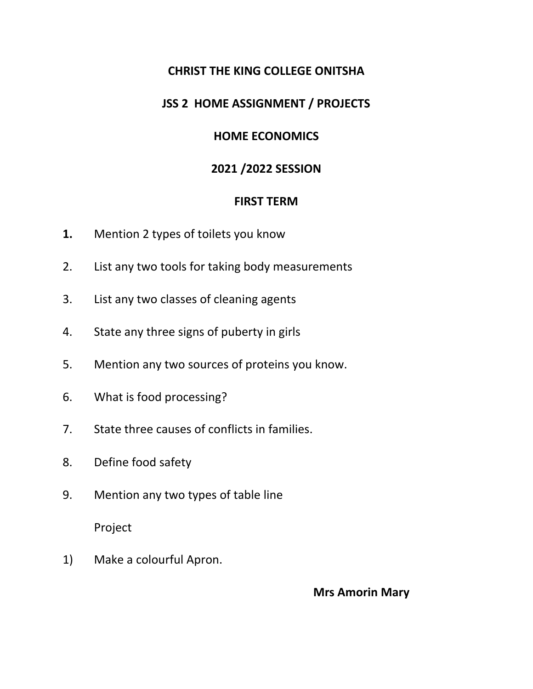# **CHRIST THE KING COLLEGE ONITSHA**

### **JSS 2 HOME ASSIGNMENT / PROJECTS**

# **HOME ECONOMICS**

# **2021 /2022 SESSION**

#### **FIRST TERM**

- **1.** Mention 2 types of toilets you know
- 2. List any two tools for taking body measurements
- 3. List any two classes of cleaning agents
- 4. State any three signs of puberty in girls
- 5. Mention any two sources of proteins you know.
- 6. What is food processing?
- 7. State three causes of conflicts in families.
- 8. Define food safety
- 9. Mention any two types of table line

Project

1) Make a colourful Apron.

**Mrs Amorin Mary**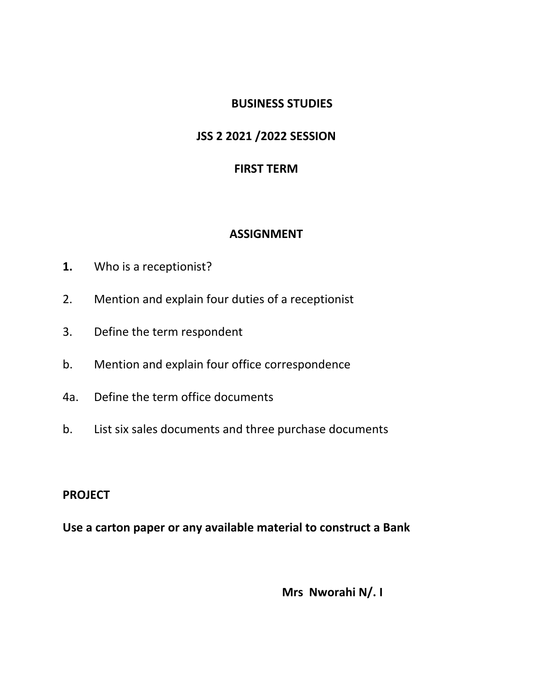### **BUSINESS STUDIES**

# **JSS 2 2021 /2022 SESSION**

# **FIRST TERM**

# **ASSIGNMENT**

- **1.** Who is a receptionist?
- 2. Mention and explain four duties of a receptionist
- 3. Define the term respondent
- b. Mention and explain four office correspondence
- 4a. Define the term office documents
- b. List six sales documents and three purchase documents

### **PROJECT**

**Use a carton paper or any available material to construct a Bank**

**Mrs Nworahi N/. I**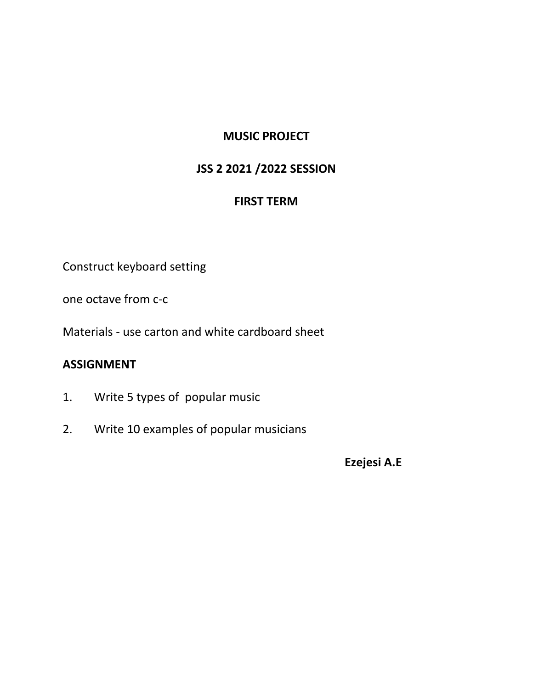# **MUSIC PROJECT**

### **JSS 2 2021 /2022 SESSION**

#### **FIRST TERM**

Construct keyboard setting

one octave from c-c

Materials - use carton and white cardboard sheet

### **ASSIGNMENT**

- 1. Write 5 types of popular music
- 2. Write 10 examples of popular musicians

**Ezejesi A.E**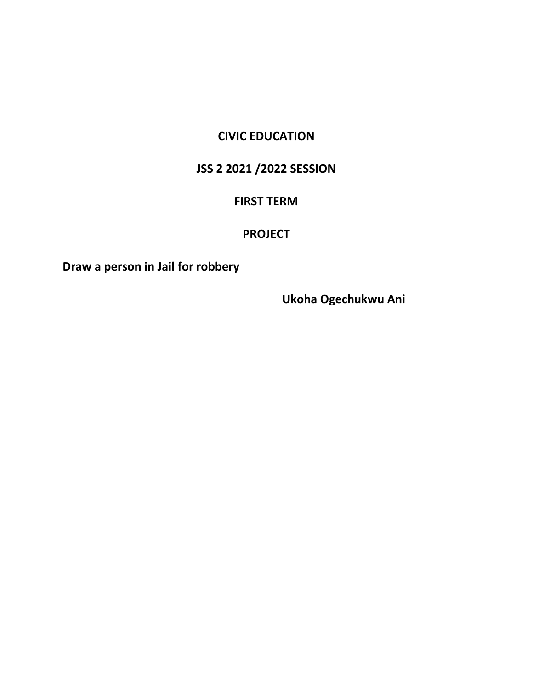# **CIVIC EDUCATION**

# **JSS 2 2021 /2022 SESSION**

#### **FIRST TERM**

#### **PROJECT**

**Draw a person in Jail for robbery**

**Ukoha Ogechukwu Ani**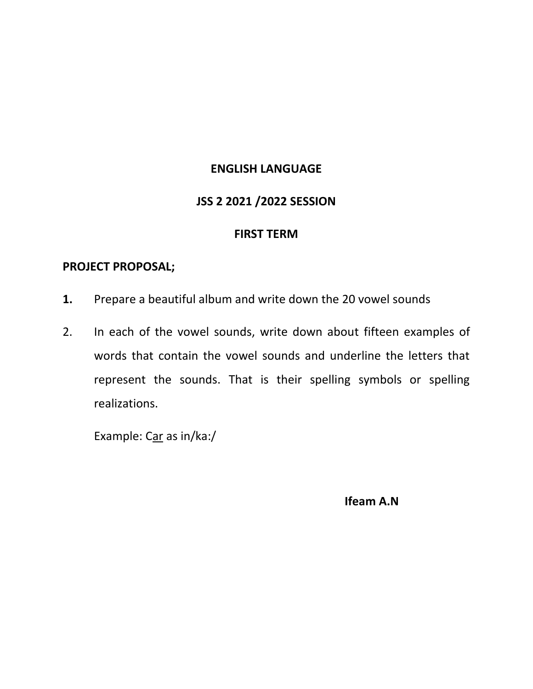#### **ENGLISH LANGUAGE**

#### **JSS 2 2021 /2022 SESSION**

#### **FIRST TERM**

#### **PROJECT PROPOSAL;**

- **1.** Prepare a beautiful album and write down the 20 vowel sounds
- 2. In each of the vowel sounds, write down about fifteen examples of words that contain the vowel sounds and underline the letters that represent the sounds. That is their spelling symbols or spelling realizations.

Example: Car as in/ka:/

**Ifeam A.N**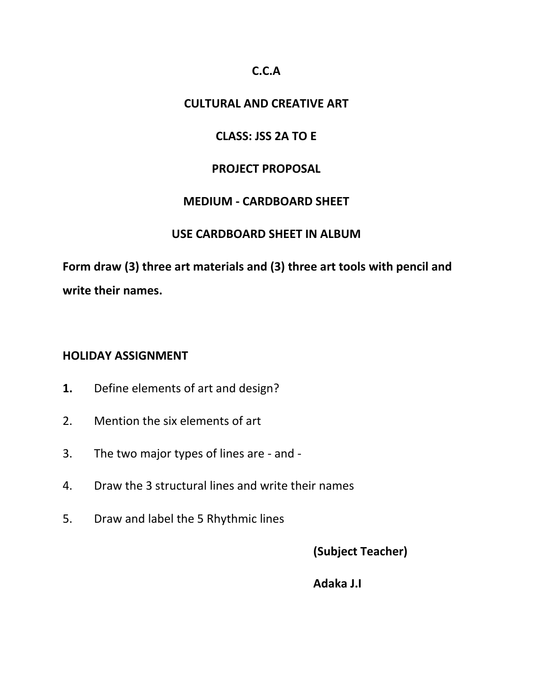### **C.C.A**

### **CULTURAL AND CREATIVE ART**

### **CLASS: JSS 2A TO E**

#### **PROJECT PROPOSAL**

#### **MEDIUM - CARDBOARD SHEET**

#### **USE CARDBOARD SHEET IN ALBUM**

**Form draw (3) three art materials and (3) three art tools with pencil and write their names.**

#### **HOLIDAY ASSIGNMENT**

- **1.** Define elements of art and design?
- 2. Mention the six elements of art
- 3. The two major types of lines are and -
- 4. Draw the 3 structural lines and write their names
- 5. Draw and label the 5 Rhythmic lines

**(Subject Teacher)**

**Adaka J.I**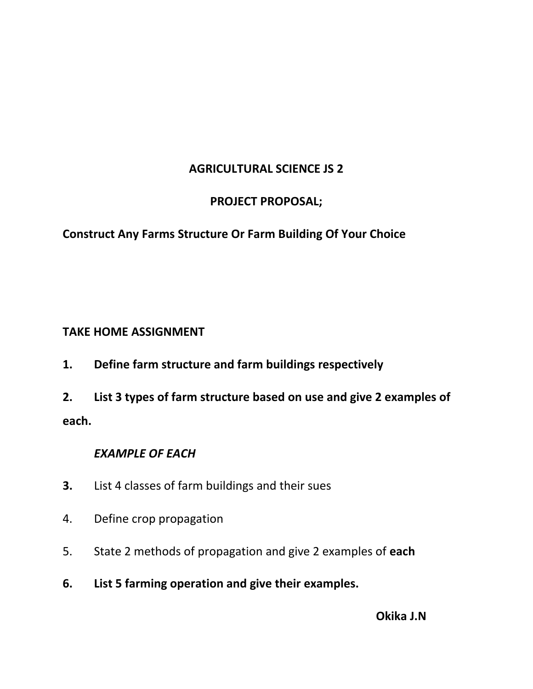# **AGRICULTURAL SCIENCE JS 2**

# **PROJECT PROPOSAL;**

# **Construct Any Farms Structure Or Farm Building Of Your Choice**

# **TAKE HOME ASSIGNMENT**

**1. Define farm structure and farm buildings respectively**

**2. List 3 types of farm structure based on use and give 2 examples of each.**

# *EXAMPLE OF EACH*

- **3.** List 4 classes of farm buildings and their sues
- 4. Define crop propagation
- 5. State 2 methods of propagation and give 2 examples of **each**
- **6. List 5 farming operation and give their examples.**

**Okika J.N**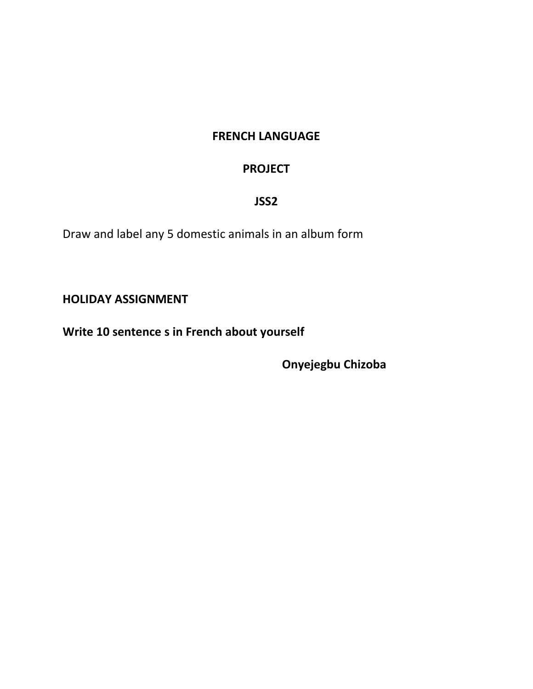# **FRENCH LANGUAGE**

# **PROJECT**

### **JSS2**

Draw and label any 5 domestic animals in an album form

**HOLIDAY ASSIGNMENT**

**Write 10 sentence s in French about yourself**

**Onyejegbu Chizoba**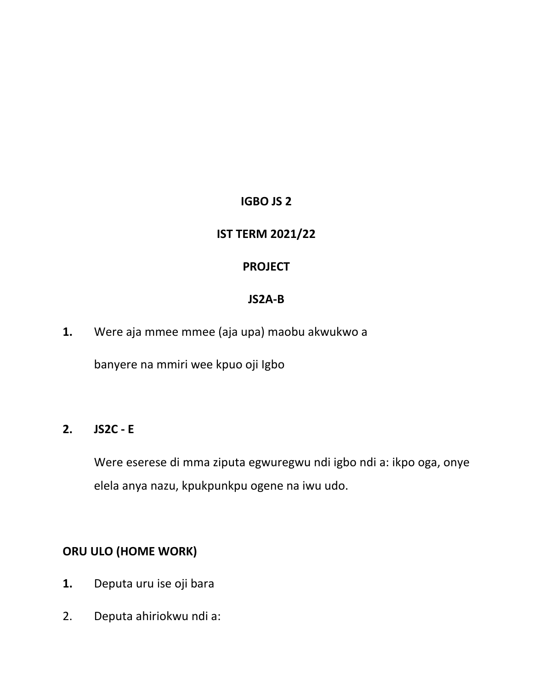# **IGBO JS 2**

# **IST TERM 2021/22**

# **PROJECT**

#### **JS2A-B**

**1.** Were aja mmee mmee (aja upa) maobu akwukwo a

banyere na mmiri wee kpuo oji Igbo

# **2. JS2C - E**

Were eserese di mma ziputa egwuregwu ndi igbo ndi a: ikpo oga, onye elela anya nazu, kpukpunkpu ogene na iwu udo.

# **ORU ULO (HOME WORK)**

- **1.** Deputa uru ise oji bara
- 2. Deputa ahiriokwu ndi a: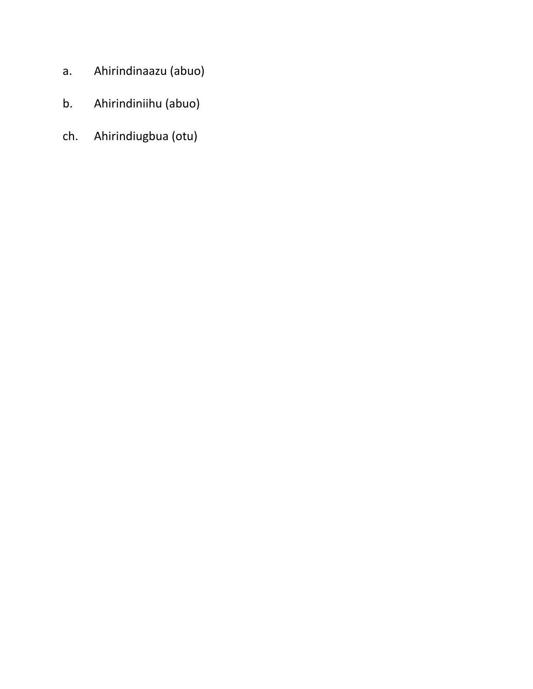- a. Ahirindinaazu (abuo)
- b. Ahirindiniihu (abuo)
- ch. Ahirindiugbua (otu)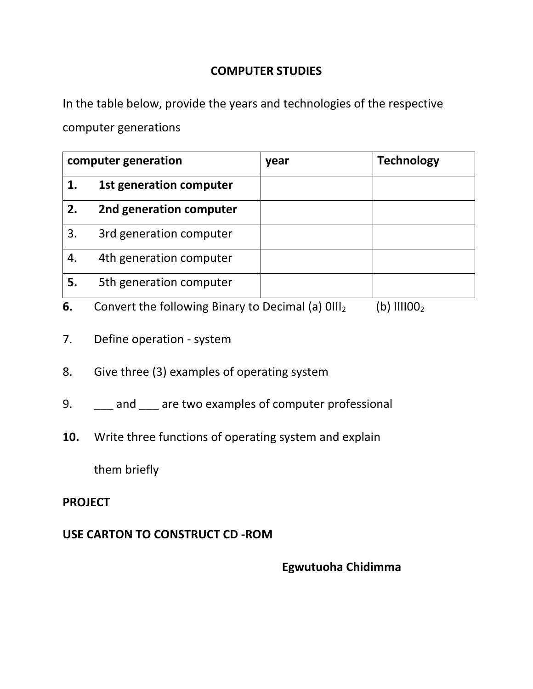### **COMPUTER STUDIES**

In the table below, provide the years and technologies of the respective computer generations

| computer generation |                         | year | <b>Technology</b>                                                                                                                                                                                                                                                                                                                                                                    |
|---------------------|-------------------------|------|--------------------------------------------------------------------------------------------------------------------------------------------------------------------------------------------------------------------------------------------------------------------------------------------------------------------------------------------------------------------------------------|
|                     | 1st generation computer |      |                                                                                                                                                                                                                                                                                                                                                                                      |
| 2.                  | 2nd generation computer |      |                                                                                                                                                                                                                                                                                                                                                                                      |
| 3.                  | 3rd generation computer |      |                                                                                                                                                                                                                                                                                                                                                                                      |
| 4.                  | 4th generation computer |      |                                                                                                                                                                                                                                                                                                                                                                                      |
| 5.                  | 5th generation computer |      |                                                                                                                                                                                                                                                                                                                                                                                      |
|                     |                         |      | $\overline{1}$ $\overline{1}$ $\overline{1}$ $\overline{1}$ $\overline{1}$ $\overline{1}$ $\overline{1}$ $\overline{1}$ $\overline{1}$ $\overline{1}$ $\overline{1}$ $\overline{1}$ $\overline{1}$ $\overline{1}$ $\overline{1}$ $\overline{1}$ $\overline{1}$ $\overline{1}$ $\overline{1}$ $\overline{1}$ $\overline{1}$ $\overline{1}$ $\overline{1}$ $\overline{1}$ $\overline{$ |

- **6.** Convert the following Binary to Decimal (a)  $0111_2$  (b)  $111100_2$
- 7. Define operation system
- 8. Give three (3) examples of operating system
- 9. \_\_\_ and \_\_\_ are two examples of computer professional
- **10.** Write three functions of operating system and explain

them briefly

### **PROJECT**

# **USE CARTON TO CONSTRUCT CD -ROM**

**Egwutuoha Chidimma**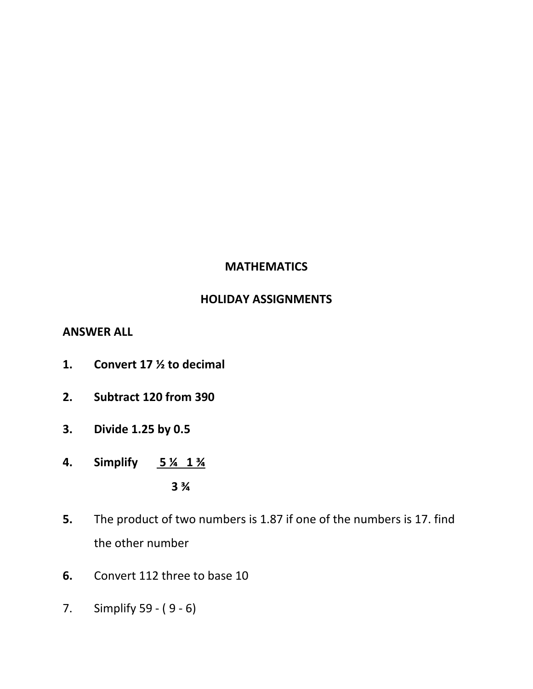### **MATHEMATICS**

# **HOLIDAY ASSIGNMENTS**

#### **ANSWER ALL**

- **1. Convert 17 ½ to decimal**
- **2. Subtract 120 from 390**
- **3. Divide 1.25 by 0.5**
- **4. Simplify 5 ¼ 1 ¾ 3 ¾**
- **5.** The product of two numbers is 1.87 if one of the numbers is 17. find the other number
- **6.** Convert 112 three to base 10
- 7. Simplify 59 ( 9 6)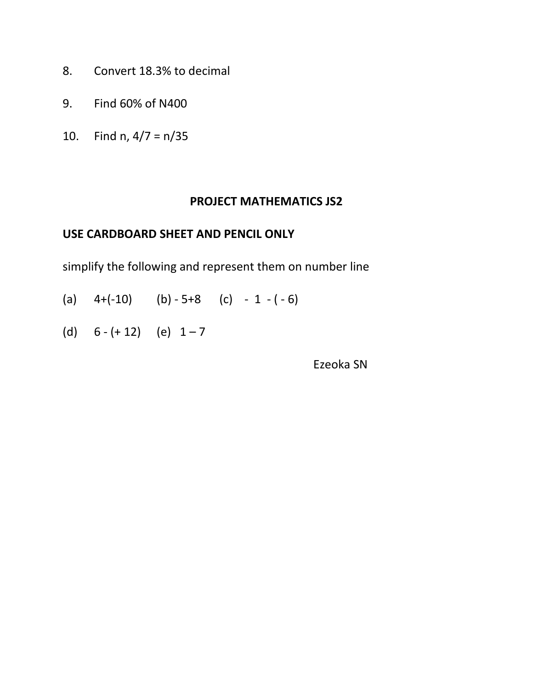- 8. Convert 18.3% to decimal
- 9. Find 60% of N400
- 10. Find n, 4/7 = n/35

#### **PROJECT MATHEMATICS JS2**

### **USE CARDBOARD SHEET AND PENCIL ONLY**

simplify the following and represent them on number line

- (a)  $4+(-10)$  (b)  $-5+8$  (c)  $-1-(-6)$
- (d)  $6 (+ 12)$  (e)  $1 7$

Ezeoka SN